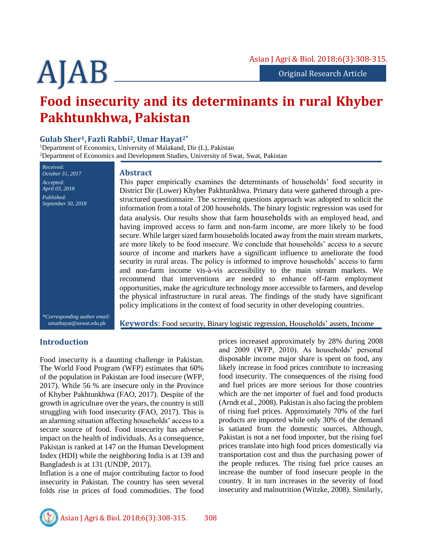# **Food insecurity and its determinants in rural Khyber Pakhtunkhwa, Pakistan**

# **Gulab Sher1, Fazli Rabbi2, Umar Hayat2\***

<sup>1</sup>Department of Economics, University of Malakand, Dir (L), Pakistan <sup>2</sup>Department of Economics and Development Studies, University of Swat, Swat, Pakistan

*October 31, 2017 Accepted: April 03, 2018 Published: September 30, 2018*

*Received:*

#### **Abstract**

This paper empirically examines the determinants of households' food security in District Dir (Lower) Khyber Pakhtunkhwa. Primary data were gathered through a prestructured questionnaire. The screening questions approach was adopted to solicit the information from a total of 200 households. The binary logistic regression was used for data analysis. Our results show that farm households with an employed head, and having improved access to farm and non-farm income, are more likely to be food secure. While larger sized farm households located away from the main stream markets, are more likely to be food insecure. We conclude that households' access to a secure source of income and markets have a significant influence to ameliorate the food security in rural areas. The policy is informed to improve households' access to farm and non-farm income vis-à-vis accessibility to the main stream markets. We recommend that interventions are needed to enhance off-farm employment opportunities, make the agriculture technology more accessible to farmers, and develop the physical infrastructure in rural areas. The findings of the study have significant policy implications in the context of food security in other developing countries.

*\*Corresponding author email:* umarhayat@uswat.edu.pk

**Keywords**: Food security, Binary logistic regression, Households' assets, Income

# **Introduction**

Food insecurity is a daunting challenge in Pakistan. The World Food Program (WFP) estimates that 60% of the population in Pakistan are food insecure (WFP, 2017). While 56 % are insecure only in the Province of Khyber Pakhtunkhwa (FAO, 2017). Despite of the growth in agriculture over the years, the country is still struggling with food insecurity (FAO, 2017). This is an alarming situation affecting households' access to a secure source of food. Food insecurity has adverse impact on the health of individuals. As a consequence, Pakistan is ranked at 147 on the Human Development Index (HDI) while the neighboring India is at 139 and Bangladesh is at 131 (UNDP, 2017).

Inflation is a one of major contributing factor to food insecurity in Pakistan. The country has seen several folds rise in prices of food commodities. The food

prices increased approximately by 28% during 2008 and 2009 (WFP, 2010). As households' personal disposable income major share is spent on food, any likely increase in food prices contribute to increasing food insecurity. The consequences of the rising food and fuel prices are more serious for those countries which are the net importer of fuel and food products (Arndt et al., 2008). Pakistan is also facing the problem of rising fuel prices. Approximately 70% of the fuel products are imported while only 30% of the demand is satiated from the domestic sources. Although, Pakistan is not a net food importer, but the rising fuel prices translate into high food prices domestically via transportation cost and thus the purchasing power of the people reduces. The rising fuel price causes an increase the number of food insecure people in the country. It in turn increases in the severity of food insecurity and malnutrition (Witzke, 2008). Similarly,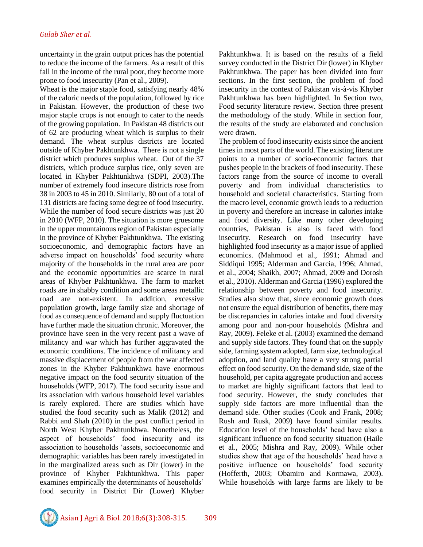uncertainty in the grain output prices has the potential to reduce the income of the farmers. As a result of this fall in the income of the rural poor, they become more prone to food insecurity (Pan et al., 2009).

Wheat is the major staple food, satisfying nearly 48% of the caloric needs of the population, followed by rice in Pakistan. However, the production of these two major staple crops is not enough to cater to the needs of the growing population. In Pakistan 48 districts out of 62 are producing wheat which is surplus to their demand. The wheat surplus districts are located outside of Khyber Pakhtunkhwa. There is not a single district which produces surplus wheat. Out of the 37 districts, which produce surplus rice, only seven are located in Khyber Pakhtunkhwa (SDPI, 2003).The number of extremely food insecure districts rose from 38 in 2003 to 45 in 2010. Similarly, 80 out of a total of 131 districts are facing some degree of food insecurity. While the number of food secure districts was just 20 in 2010 (WFP, 2010). The situation is more gruesome in the upper mountainous region of Pakistan especially in the province of Khyber Pakhtunkhwa. The existing socioeconomic, and demographic factors have an adverse impact on households' food security where majority of the households in the rural area are poor and the economic opportunities are scarce in rural areas of Khyber Pakhtunkhwa. The farm to market roads are in shabby condition and some areas metallic road are non-existent. In addition, excessive population growth, large family size and shortage of food as consequence of demand and supply fluctuation have further made the situation chronic. Moreover, the province have seen in the very recent past a wave of militancy and war which has further aggravated the economic conditions. The incidence of militancy and massive displacement of people from the war affected zones in the Khyber Pakhtunkhwa have enormous negative impact on the food security situation of the households (WFP, 2017). The food security issue and its association with various household level variables is rarely explored. There are studies which have studied the food security such as Malik (2012) and Rabbi and Shah (2010) in the post conflict period in North West Khyber Pakhtunkhwa. Nonetheless, the aspect of households' food insecurity and its association to households 'assets, socioeconomic and demographic variables has been rarely investigated in in the marginalized areas such as Dir (lower) in the province of Khyber Pakhtunkhwa. This paper examines empirically the determinants of households' food security in District Dir (Lower) Khyber

Pakhtunkhwa. It is based on the results of a field survey conducted in the District Dir (lower) in Khyber Pakhtunkhwa. The paper has been divided into four sections. In the first section, the problem of food insecurity in the context of Pakistan vis-à-vis Khyber Pakhtunkhwa has been highlighted. In Section two, Food security literature review. Section three present the methodology of the study. While in section four, the results of the study are elaborated and conclusion were drawn.

The problem of food insecurity exists since the ancient times in most parts of the world. The existing literature points to a number of socio-economic factors that pushes people in the brackets of food insecurity. These factors range from the source of income to overall poverty and from individual characteristics to household and societal characteristics. Starting from the macro level, economic growth leads to a reduction in poverty and therefore an increase in calories intake and food diversity. Like many other developing countries, Pakistan is also is faced with food insecurity. Research on food insecurity have highlighted food insecurity as a major issue of applied economics. (Mahmood et al., 1991; Ahmad and Siddiqui 1995; Alderman and Garcia, 1996; Ahmad, et al., 2004; Shaikh, 2007; Ahmad, 2009 and Dorosh et al., 2010). Alderman and Garcia (1996) explored the relationship between poverty and food insecurity. Studies also show that, since economic growth does not ensure the equal distribution of benefits, there may be discrepancies in calories intake and food diversity among poor and non-poor households (Mishra and Ray, 2009). Feleke et al. (2003) examined the demand and supply side factors. They found that on the supply side, farming system adopted, farm size, technological adoption, and land quality have a very strong partial effect on food security. On the demand side, size of the household, per capita aggregate production and access to market are highly significant factors that lead to food security. However, the study concludes that supply side factors are more influential than the demand side. Other studies (Cook and Frank, 2008; Rush and Rusk, 2009) have found similar results. Education level of the households' head have also a significant influence on food security situation (Haile et al., 2005; Mishra and Ray, 2009). While other studies show that age of the households' head have a positive influence on households' food security (Hofferth, 2003; Obamiro and Kormawa, 2003). While households with large farms are likely to be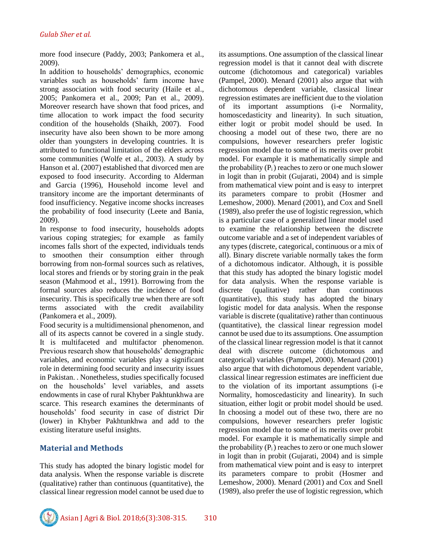more food insecure (Paddy, 2003; Pankomera et al., 2009).

In addition to households' demographics, economic variables such as households' farm income have strong association with food security (Haile et al., 2005; Pankomera et al., 2009; Pan et al., 2009). Moreover research have shown that food prices, and time allocation to work impact the food security condition of the households (Shaikh, 2007). Food insecurity have also been shown to be more among older than youngsters in developing countries. It is attributed to functional limitation of the elders across some communities (Wolfe et al., 2003). A study by Hanson et al. (2007) established that divorced men are exposed to food insecurity. According to Alderman and Garcia (1996), Household income level and transitory income are the important determinants of food insufficiency. Negative income shocks increases the probability of food insecurity (Leete and Bania, 2009).

In response to food insecurity, households adopts various coping strategies; for example as family incomes falls short of the expected, individuals tends to smoothen their consumption either through borrowing from non-formal sources such as relatives, local stores and friends or by storing grain in the peak season (Mahmood et al., 1991). Borrowing from the formal sources also reduces the incidence of food insecurity. This is specifically true when there are soft terms associated with the credit availability (Pankomera et al., 2009).

Food security is a multidimensional phenomenon, and all of its aspects cannot be covered in a single study. It is multifaceted and multifactor phenomenon. Previous research show that households' demographic variables, and economic variables play a significant role in determining food security and insecurity issues in Pakistan. . Nonetheless, studies specifically focused on the households' level variables, and assets endowments in case of rural Khyber Pakhtunkhwa are scarce. This research examines the determinants of households' food security in case of district Dir (lower) in Khyber Pakhtunkhwa and add to the existing literature useful insights.

# **Material and Methods**

This study has adopted the binary logistic model for data analysis. When the response variable is discrete (qualitative) rather than continuous (quantitative), the classical linear regression model cannot be used due to its assumptions. One assumption of the classical linear regression model is that it cannot deal with discrete outcome (dichotomous and categorical) variables (Pampel, 2000). Menard (2001) also argue that with dichotomous dependent variable, classical linear regression estimates are inefficient due to the violation of its important assumptions (i-e Normality, homoscedasticity and linearity). In such situation, either logit or probit model should be used. In choosing a model out of these two, there are no compulsions, however researchers prefer logistic regression model due to some of its merits over probit model. For example it is mathematically simple and the probability  $(P_i)$  reaches to zero or one much slower in logit than in probit (Gujarati, 2004) and is simple from mathematical view point and is easy to interpret its parameters compare to probit (Hosmer and Lemeshow, 2000). Menard (2001), and Cox and Snell (1989), also prefer the use of logistic regression, which is a particular case of a generalized linear model used to examine the relationship between the discrete outcome variable and a set of independent variables of any types (discrete, categorical, continuous or a mix of all). Binary discrete variable normally takes the form of a dichotomous indicator. Although, it is possible that this study has adopted the binary logistic model for data analysis. When the response variable is discrete (qualitative) rather than continuous (quantitative), this study has adopted the binary logistic model for data analysis. When the response variable is discrete (qualitative) rather than continuous (quantitative), the classical linear regression model cannot be used due to its assumptions. One assumption of the classical linear regression model is that it cannot deal with discrete outcome (dichotomous and categorical) variables (Pampel, 2000). Menard (2001) also argue that with dichotomous dependent variable, classical linear regression estimates are inefficient due to the violation of its important assumptions (i-e Normality, homoscedasticity and linearity). In such situation, either logit or probit model should be used. In choosing a model out of these two, there are no compulsions, however researchers prefer logistic regression model due to some of its merits over probit model. For example it is mathematically simple and the probability  $(P_i)$  reaches to zero or one much slower in logit than in probit (Gujarati, 2004) and is simple from mathematical view point and is easy to interpret its parameters compare to probit (Hosmer and Lemeshow, 2000). Menard (2001) and Cox and Snell (1989), also prefer the use of logistic regression, which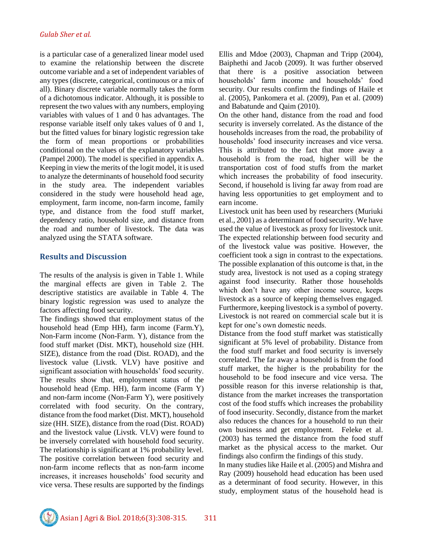is a particular case of a generalized linear model used to examine the relationship between the discrete outcome variable and a set of independent variables of any types (discrete, categorical, continuous or a mix of all). Binary discrete variable normally takes the form of a dichotomous indicator. Although, it is possible to represent the two values with any numbers, employing variables with values of 1 and 0 has advantages. The response variable itself only takes values of 0 and 1, but the fitted values for binary logistic regression take the form of mean proportions or probabilities conditional on the values of the explanatory variables (Pampel 2000). The model is specified in appendix A. Keeping in view the merits of the logit model, it is used to analyze the determinants of household food security in the study area. The independent variables considered in the study were household head age, employment, farm income, non-farm income, family type, and distance from the food stuff market, dependency ratio, household size, and distance from the road and number of livestock. The data was analyzed using the STATA software.

### **Results and Discussion**

The results of the analysis is given in Table 1. While the marginal effects are given in Table 2. The descriptive statistics are available in Table 4. The binary logistic regression was used to analyze the factors affecting food security.

The findings showed that employment status of the household head (Emp HH), farm income (Farm.Y), Non-Farm income (Non-Farm. Y), distance from the food stuff market (Dist. MKT), household size (HH. SIZE), distance from the road (Dist. ROAD), and the livestock value (Livstk. VLV) have positive and significant association with households' food security. The results show that, employment status of the household head (Emp. HH), farm income (Farm Y) and non-farm income (Non-Farm Y), were positively correlated with food security. On the contrary, distance from the food market (Dist. MKT), household size (HH. SIZE), distance from the road (Dist. ROAD) and the livestock value (Livstk. VLV) were found to be inversely correlated with household food security. The relationship is significant at 1% probability level. The positive correlation between food security and non-farm income reflects that as non-farm income increases, it increases households' food security and vice versa. These results are supported by the findings Ellis and Mdoe (2003), Chapman and Tripp (2004), Baiphethi and Jacob (2009). It was further observed that there is a positive association between households' farm income and households' food security. Our results confirm the findings of Haile et al. (2005), Pankomera et al. (2009), Pan et al. (2009) and Babatunde and Qaim (2010).

On the other hand, distance from the road and food security is inversely correlated. As the distance of the households increases from the road, the probability of households' food insecurity increases and vice versa. This is attributed to the fact that more away a household is from the road, higher will be the transportation cost of food stuffs from the market which increases the probability of food insecurity. Second, if household is living far away from road are having less opportunities to get employment and to earn income.

Livestock unit has been used by researchers (Muriuki et al., 2001) as a determinant of food security. We have used the value of livestock as proxy for livestock unit. The expected relationship between food security and of the livestock value was positive. However, the coefficient took a sign in contrast to the expectations. The possible explanation of this outcome is that, in the study area, livestock is not used as a coping strategy against food insecurity. Rather those households which don't have any other income source, keeps livestock as a source of keeping themselves engaged. Furthermore, keeping livestock is a symbol of poverty. Livestock is not reared on commercial scale but it is kept for one's own domestic needs.

Distance from the food stuff market was statistically significant at 5% level of probability. Distance from the food stuff market and food security is inversely correlated. The far away a household is from the food stuff market, the higher is the probability for the household to be food insecure and vice versa. The possible reason for this inverse relationship is that, distance from the market increases the transportation cost of the food stuffs which increases the probability of food insecurity. Secondly, distance from the market also reduces the chances for a household to run their own business and get employment. Feleke et al. (2003) has termed the distance from the food stuff market as the physical access to the market. Our findings also confirm the findings of this study.

In many studies like Haile et al. (2005) and Mishra and Ray (2009) household head education has been used as a determinant of food security. However, in this study, employment status of the household head is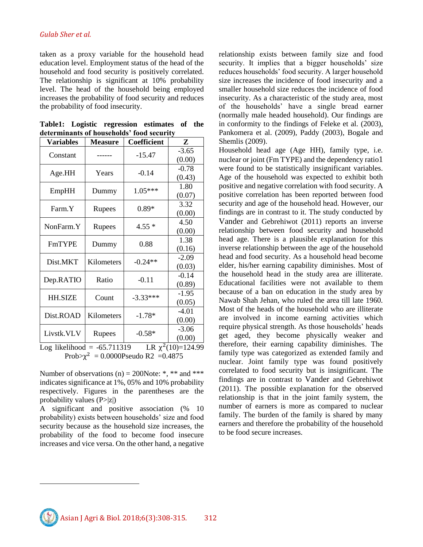#### *Gulab Sher et al.*

taken as a proxy variable for the household head education level. Employment status of the head of the household and food security is positively correlated. The relationship is significant at 10% probability level. The head of the household being employed increases the probability of food security and reduces the probability of food insecurity.

|                                           |  | Table1: Logistic regression estimates of the |  |  |  |  |  |  |
|-------------------------------------------|--|----------------------------------------------|--|--|--|--|--|--|
| determinants of households' food security |  |                                              |  |  |  |  |  |  |

| <b>Variables</b>                                                                                            | <b>Measure</b> | Coefficient | Z       |  |  |
|-------------------------------------------------------------------------------------------------------------|----------------|-------------|---------|--|--|
| Constant                                                                                                    |                | -15.47      | $-3.65$ |  |  |
|                                                                                                             |                |             | (0.00)  |  |  |
| Age.HH                                                                                                      | Years          | $-0.14$     | $-0.78$ |  |  |
|                                                                                                             |                |             | (0.43)  |  |  |
| EmpHH                                                                                                       | Dummy          | $1.05***$   | 1.80    |  |  |
|                                                                                                             |                |             | (0.07)  |  |  |
| Farm.Y                                                                                                      | Rupees         | $0.89*$     | 3.32    |  |  |
|                                                                                                             |                |             | (0.00)  |  |  |
| NonFarm.Y                                                                                                   | Rupees         | $4.55*$     | 4.50    |  |  |
|                                                                                                             |                |             | (0.00)  |  |  |
| <b>FmTYPE</b>                                                                                               | Dummy          | 0.88        | 1.38    |  |  |
|                                                                                                             |                |             | (0.16)  |  |  |
| Dist.MKT                                                                                                    | Kilometers     | $-0.24**$   | $-2.09$ |  |  |
|                                                                                                             |                |             | (0.03)  |  |  |
| Dep.RATIO                                                                                                   | Ratio          | $-0.11$     | $-0.14$ |  |  |
|                                                                                                             |                |             | (0.89)  |  |  |
| <b>HH.SIZE</b>                                                                                              | Count          | $-3.33***$  | $-1.95$ |  |  |
|                                                                                                             |                |             | (0.05)  |  |  |
| Dist.ROAD                                                                                                   | Kilometers     | $-1.78*$    | $-4.01$ |  |  |
|                                                                                                             |                |             | (0.00)  |  |  |
| Livstk.VLV                                                                                                  | Rupees         | $-0.58*$    | $-3.06$ |  |  |
|                                                                                                             |                |             | (0.00)  |  |  |
| $T = \frac{1}{2}$ $\left(\frac{1}{2}(10)-\frac{1}{2}4\right)$ 00<br>$I_{\text{tot}}$ likelihood = 65.711210 |                |             |         |  |  |

Log likelihood  $= -65.711319$  $2(10)=124.99$ Prob $> \chi^2 = 0.0000$ Pseudo R2 = 0.4875

Number of observations (n) = 200Note: \*, \*\* and \*\*\* indicates significance at 1%, 05% and 10% probability respectively. Figures in the parentheses are the probability values  $(P>|z|)$ 

A significant and positive association (% 10 probability) exists between households' size and food security because as the household size increases, the probability of the food to become food insecure increases and vice versa. On the other hand, a negative

 $\overline{a}$ 

relationship exists between family size and food security. It implies that a bigger households' size reduces households' food security. A larger household size increases the incidence of food insecurity and a smaller household size reduces the incidence of food insecurity. As a characteristic of the study area, most of the households' have a single bread earner (normally male headed household). Our findings are in conformity to the findings of Feleke et al. (2003), Pankomera et al. (2009), Paddy (2003), Bogale and Shemlis (2009).

Household head age (Age HH), family type, i.e. nuclear or joint (Fm TYPE) and the dependency ratio1 were found to be statistically insignificant variables. Age of the household was expected to exhibit both positive and negative correlation with food security. A positive correlation has been reported between food security and age of the household head. However, our findings are in contrast to it. The study conducted by Vander and [Gebrehiwot](mailto:gidey17146@itc.nl) (2011) reports an inverse relationship between food security and household head age. There is a plausible explanation for this inverse relationship between the age of the household head and food security. As a household head become elder, his/her earning capability diminishes. Most of the household head in the study area are illiterate. Educational facilities were not available to them because of a ban on education in the study area by Nawab Shah Jehan, who ruled the area till late 1960. Most of the heads of the household who are illiterate are involved in income earning activities which require physical strength. As those households' heads get aged, they become physically weaker and therefore, their earning capability diminishes. The family type was categorized as extended family and nuclear. Joint family type was found positively correlated to food security but is insignificant. The findings are in contrast to Vander and [Gebrehiwot](mailto:gidey17146@itc.nl) (2011). The possible explanation for the observed relationship is that in the joint family system, the number of earners is more as compared to nuclear family. The burden of the family is shared by many earners and therefore the probability of the household to be food secure increases.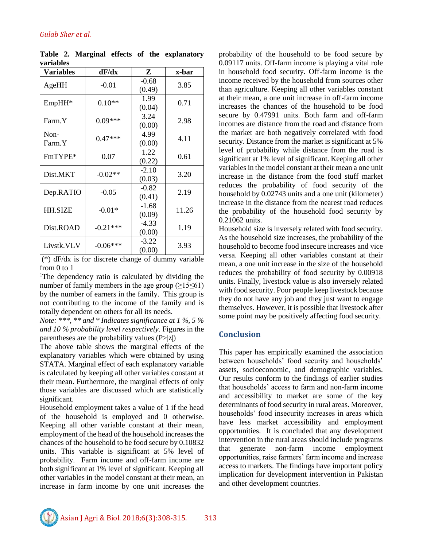| Variables      | dF/dx      | Z                 | x-bar |
|----------------|------------|-------------------|-------|
| AgeHH          | $-0.01$    | $-0.68$<br>(0.49) | 3.85  |
| EmpHH*         | $0.10**$   | 1.99<br>(0.04)    | 0.71  |
| Farm Y         | $0.09***$  | 3.24<br>(0.00)    | 2.98  |
| Non-<br>Farm.Y | $0.47***$  | 4.99<br>(0.00)    | 4.11  |
| FmTYPE*        | 0.07       | 1.22<br>(0.22)    | 0.61  |
| Dist.MKT       | $-0.02**$  | $-2.10$<br>(0.03) | 3.20  |
| Dep.RATIO      | $-0.05$    | $-0.82$<br>(0.41) | 2.19  |
| <b>HH.SIZE</b> | $-0.01*$   | $-1.68$<br>(0.09) | 11.26 |
| Dist.ROAD      | $-0.21***$ | -4.33<br>(0.00)   | 1.19  |
| Livstk.VLV     | $-0.06***$ | $-3.22$<br>(0.00) | 3.93  |

**Table 2. Marginal effects of the explanatory variables**

(\*) dF/dx is for discrete change of dummy variable from 0 to 1

<sup>1</sup>The dependency ratio is calculated by dividing the number of family members in the age group  $(≥15≤61)$ by the number of earners in the family. This group is not contributing to the income of the family and is totally dependent on others for all its needs.

*Note: \*\*\*, \*\* and \* Indicates significance at 1 %, 5 % and 10 % probability level respectively.* Figures in the parentheses are the probability values  $(P>|z|)$ 

The above table shows the marginal effects of the explanatory variables which were obtained by using STATA. Marginal effect of each explanatory variable is calculated by keeping all other variables constant at their mean. Furthermore, the marginal effects of only those variables are discussed which are statistically significant.

Household employment takes a value of 1 if the head of the household is employed and 0 otherwise. Keeping all other variable constant at their mean, employment of the head of the household increases the chances of the household to be food secure by 0.10832 units. This variable is significant at 5% level of probability. Farm income and off-farm income are both significant at 1% level of significant. Keeping all other variables in the model constant at their mean, an increase in farm income by one unit increases the

probability of the household to be food secure by 0.09117 units. Off-farm income is playing a vital role in household food security. Off-farm income is the income received by the household from sources other than agriculture. Keeping all other variables constant at their mean, a one unit increase in off-farm income increases the chances of the household to be food secure by 0.47991 units. Both farm and off-farm incomes are distance from the road and distance from the market are both negatively correlated with food security. Distance from the market is significant at 5% level of probability while distance from the road is significant at 1% level of significant. Keeping all other variables in the model constant at their mean a one unit increase in the distance from the food stuff market reduces the probability of food security of the household by 0.02743 units and a one unit (kilometer) increase in the distance from the nearest road reduces the probability of the household food security by 0.21062 units.

Household size is inversely related with food security. As the household size increases, the probability of the household to become food insecure increases and vice versa. Keeping all other variables constant at their mean, a one unit increase in the size of the household reduces the probability of food security by 0.00918 units. Finally, livestock value is also inversely related with food security. Poor people keep livestock because they do not have any job and they just want to engage themselves. However, it is possible that livestock after some point may be positively affecting food security.

### **Conclusion**

This paper has empirically examined the association between households' food security and households' assets, socioeconomic, and demographic variables. Our results conform to the findings of earlier studies that households' access to farm and non-farm income and accessibility to market are some of the key determinants of food security in rural areas. Moreover, households' food insecurity increases in areas which have less market accessibility and employment opportunities. It is concluded that any development intervention in the rural areas should include programs that generate non-farm income employment opportunities, raise farmers' farm income and increase access to markets. The findings have important policy implication for development intervention in Pakistan and other development countries.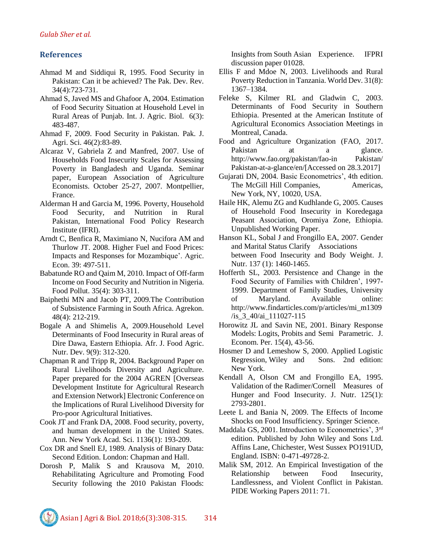## **References**

- Ahmad M and Siddiqui R, 1995. Food Security in Pakistan: Can it be achieved? The Pak. Dev. Rev. 34(4):723-731.
- Ahmad S, Javed MS and Ghafoor A, 2004. Estimation of Food Security Situation at Household Level in Rural Areas of Punjab. Int. J. Agric. Biol. 6(3): 483-487.
- Ahmad F, 2009. Food Security in Pakistan. Pak. J. Agri. Sci. 46(2):83-89.
- Alcaraz V, Gabriela Z and Manfred, 2007. Use of Households Food Insecurity Scales for Assessing Poverty in Bangladesh and Uganda. Seminar paper, European Association of Agriculture Economists. October 25-27, 2007. Montpellier, France.
- Alderman H and Garcia M, 1996. Poverty, Household Food Security, and Nutrition in Rural Pakistan, International Food Policy Research Institute (IFRI).
- Arndt C, Benfica R, Maximiano N, Nucifora AM and Thurlow JT. 2008. Higher Fuel and Food Prices: Impacts and Responses for Mozambique'. Agric. Econ. 39: 497-511.
- Babatunde RO and Qaim M, 2010. Impact of Off-farm Income on Food Security and Nutrition in Nigeria. Food Pollut. 35(4): 303-311.
- Baiphethi MN and Jacob PT, 2009.The Contribution of Subsistence Farming in South Africa. Agrekon. 48(4): 212-219.
- Bogale A and Shimelis A, 2009.Household Level Determinants of Food Insecurity in Rural areas of Dire Dawa, Eastern Ethiopia. Afr. J. Food Agric. Nutr. Dev. 9(9): 312-320.
- Chapman R and Tripp R, 2004. Background Paper on Rural Livelihoods Diversity and Agriculture. Paper prepared for the 2004 AGREN [Overseas Development Institute for Agricultural Research and Extension Network] Electronic Conference on the Implications of Rural Livelihood Diversity for Pro-poor Agricultural Initiatives.
- Cook JT and Frank DA, 2008. Food security, poverty, and human development in the United States. Ann. New York Acad. Sci. 1136(1): 193-209.
- Cox DR and Snell EJ, 1989. Analysis of Binary Data: Second Edition. London: Chapman and Hall.
- Dorosh P, Malik S and Krausova M, 2010. Rehabilitating Agriculture and Promoting Food Security following the 2010 Pakistan Floods:

Insights from South Asian Experience. IFPRI discussion paper 01028.

- Ellis F and Mdoe N, 2003. Livelihoods and Rural Poverty Reduction in Tanzania. World Dev. 31(8): 1367–1384.
- Feleke S, Kilmer RL and Gladwin C, 2003. Determinants of Food Security in Southern Ethiopia. Presented at the American Institute of Agricultural Economics Association Meetings in Montreal, Canada.
- Food and Agriculture Organization (FAO, 2017. Pakistan at a glance. [http://www.fao.org/pakistan/fao-in Pakistan/](http://www.fao.org/pakistan/fao-in%20Pakistan/%20Pakistan-at-a-glance/en/)  [Pakistan-at-a-glance/en/\[](http://www.fao.org/pakistan/fao-in%20Pakistan/%20Pakistan-at-a-glance/en/)Accessed on 28.3.2017]
- Gujarati DN, 2004. Basic Econometrics', 4th edition. The McGill Hill Companies, Americas, New York, NY, 10020, USA.
- Haile HK, Alemu ZG and Kudhlande G, 2005. Causes of Household Food Insecurity in Koredegaga Peasant Association, Oromiya Zone, Ethiopia. Unpublished Working Paper.
- Hanson KL, Sobal J and Frongillo EA, 2007. Gender and Marital Status Clarify Associations between Food Insecurity and Body Weight. J. Nutr. 137 (1): 1460-1465.
- Hofferth SL, 2003. Persistence and Change in the Food Security of Families with Children', 1997- 1999. Department of Family Studies, University of Maryland. Available online: http://www.findarticles.com/p/articles/mi\_m1309 /is\_3\_40/ai\_111027-115
- Horowitz JL and Savin NE, 2001. Binary Response Models: Logits, Probits and Semi Parametric. J. Econom. Per. 15(4), 43-56.
- Hosmer D and Lemeshow S, 2000. Applied Logistic Regression, Wiley and Sons. 2nd edition: New York.
- Kendall A, Olson CM and Frongillo EA, 1995. Validation of the Radimer/Cornell Measures of Hunger and Food Insecurity. J. Nutr. 125(1): 2793-2801.
- Leete L and Bania N, 2009. The Effects of Income Shocks on Food Insufficiency. Springer Science.
- Maddala GS, 2001. Introduction to Econometrics', 3rd edition. Published by John Wiley and Sons Ltd. Affins Lane, Chichester, West Sussex PO191UD, England. ISBN: 0-471-49728-2.
- Malik SM, 2012. An Empirical Investigation of the Relationship between Food Insecurity, Landlessness, and Violent Conflict in Pakistan. PIDE Working Papers 2011: 71.

Asian J Agri & Biol. 2018;6(3):308-315. 314